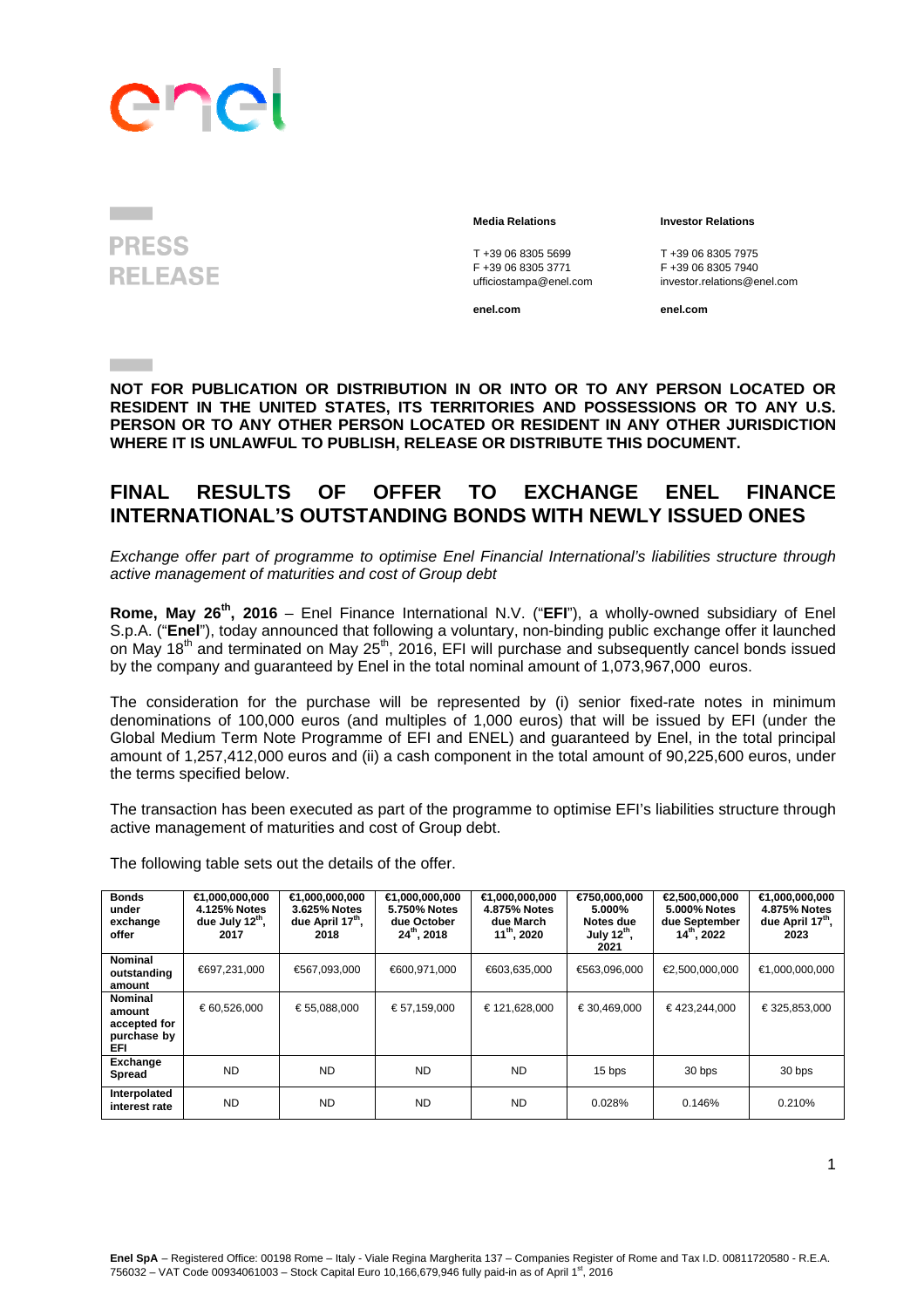## enc

### **PRESS RELEASE**

T +39 06 8305 5699<br>
F +39 06 8305 3771<br>
F +39 06 8305 3771<br>
F +39 06 8305 7940 ufficiostampa@enel.com

### **Media Relations Investor Relations**

F +39 06 8305 3771 F +39 06 8305 7940

**enel.com enel.com**

**Contract Contract** 

**NOT FOR PUBLICATION OR DISTRIBUTION IN OR INTO OR TO ANY PERSON LOCATED OR RESIDENT IN THE UNITED STATES, ITS TERRITORIES AND POSSESSIONS OR TO ANY U.S. PERSON OR TO ANY OTHER PERSON LOCATED OR RESIDENT IN ANY OTHER JURISDICTION WHERE IT IS UNLAWFUL TO PUBLISH, RELEASE OR DISTRIBUTE THIS DOCUMENT.** 

### **FINAL RESULTS OF OFFER TO EXCHANGE ENEL FINANCE INTERNATIONAL'S OUTSTANDING BONDS WITH NEWLY ISSUED ONES**

*Exchange offer part of programme to optimise Enel Financial International's liabilities structure through active management of maturities and cost of Group debt* 

**Rome, May 26th, 2016** – Enel Finance International N.V. ("**EFI**"), a wholly-owned subsidiary of Enel S.p.A. ("**Enel**"), today announced that following a voluntary, non-binding public exchange offer it launched on May 18<sup>th</sup> and terminated on May 25<sup>th</sup>, 2016, EFI will purchase and subsequently cancel bonds issued by the company and guaranteed by Enel in the total nominal amount of 1,073,967,000 euros.

The consideration for the purchase will be represented by (i) senior fixed-rate notes in minimum denominations of 100,000 euros (and multiples of 1,000 euros) that will be issued by EFI (under the Global Medium Term Note Programme of EFI and ENEL) and guaranteed by Enel, in the total principal amount of 1,257,412,000 euros and (ii) a cash component in the total amount of 90,225,600 euros, under the terms specified below.

The transaction has been executed as part of the programme to optimise EFI's liabilities structure through active management of maturities and cost of Group debt.

| <b>Bonds</b><br>under<br>exchange<br>offer                      | $∈$ 1,000,000,000<br>4.125% Notes<br>due July 12 <sup>th</sup> ,<br>2017 | ∈ 0.000,000,000<br>3.625% Notes<br>due April 17 <sup>th</sup> ,<br>2018 | $∈$ 1,000,000,000<br>5.750% Notes<br>due October<br>$24^{th}$ , 2018 | $∈$ 1,000,000,000<br>4.875% Notes<br>due March<br>$11^{th}$ , 2020 | €750,000,000<br>5.000%<br>Notes due<br>July $12^{th}$ ,<br>2021 | Q,500,000,000<br>5.000% Notes<br>due September<br>$14^{th}$ , 2022 | ∈1,000,000,000<br>4.875% Notes<br>due April 17 <sup>th</sup> ,<br>2023 |
|-----------------------------------------------------------------|--------------------------------------------------------------------------|-------------------------------------------------------------------------|----------------------------------------------------------------------|--------------------------------------------------------------------|-----------------------------------------------------------------|--------------------------------------------------------------------|------------------------------------------------------------------------|
| <b>Nominal</b><br>outstanding<br>amount                         | €697,231,000                                                             | €567,093,000                                                            | €600,971,000                                                         | €603,635,000                                                       | €563,096,000                                                    | €2,500,000,000                                                     | €1,000,000,000                                                         |
| <b>Nominal</b><br>amount<br>accepted for<br>purchase by<br>EFI. | € 60,526,000                                                             | € 55,088,000                                                            | €57,159,000                                                          | €121,628,000                                                       | €30,469,000                                                     | €423,244,000                                                       | €325,853,000                                                           |
| Exchange<br><b>Spread</b>                                       | <b>ND</b>                                                                | <b>ND</b>                                                               | ND.                                                                  | ND.                                                                | 15 bps                                                          | 30 bps                                                             | 30 bps                                                                 |
| Interpolated<br>interest rate                                   | <b>ND</b>                                                                | <b>ND</b>                                                               | ND.                                                                  | ND                                                                 | 0.028%                                                          | 0.146%                                                             | 0.210%                                                                 |

The following table sets out the details of the offer.